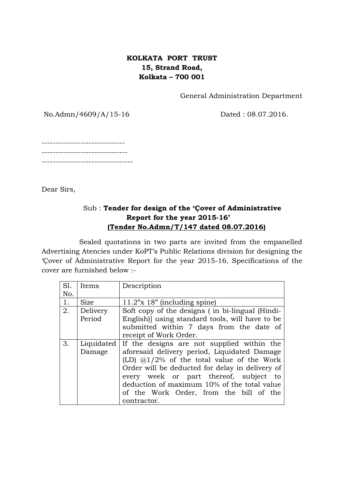## **KOLKATA PORT TRUST 15, Strand Road, Kolkata – 700 001**

General Administration Department

No.Admn/4609/A/15-16 Dated : 08.07.2016.

------------------------------ ------------------------------- ---------------------------------

Dear Sirs,

# Sub : **Tender for design of the 'Çover of Administrative Report for the year 2015-16' (Tender No.Admn/T/147 dated 08.07.2016)**

Sealed quotations in two parts are invited from the empanelled Advertising Atencies under KoPT's Public Relations division for designing the 'Çover of Ádministrative Report for the year 2015-16. Specifications of the cover are furnished below :-

| SI.<br>No. | Items                | Description                                                                                                                                                                                                                                                                                                                                      |  |  |
|------------|----------------------|--------------------------------------------------------------------------------------------------------------------------------------------------------------------------------------------------------------------------------------------------------------------------------------------------------------------------------------------------|--|--|
| 1.         | <b>Size</b>          | $11.2$ "x 18" (including spine)                                                                                                                                                                                                                                                                                                                  |  |  |
| 2.         | Delivery<br>Period   | Soft copy of the designs (in bi-lingual (Hindi-<br>English)] using standard tools, will have to be                                                                                                                                                                                                                                               |  |  |
|            |                      | submitted within 7 days from the date of<br>receipt of Work Order.                                                                                                                                                                                                                                                                               |  |  |
| 3.         | Liquidated<br>Damage | If the designs are not supplied within the<br>aforesaid delivery period, Liquidated Damage<br>(LD) $@1/2\%$ of the total value of the Work<br>Order will be deducted for delay in delivery of<br>every week or part thereof, subject to<br>deduction of maximum 10% of the total value<br>of the Work Order, from the bill of the<br>contractor. |  |  |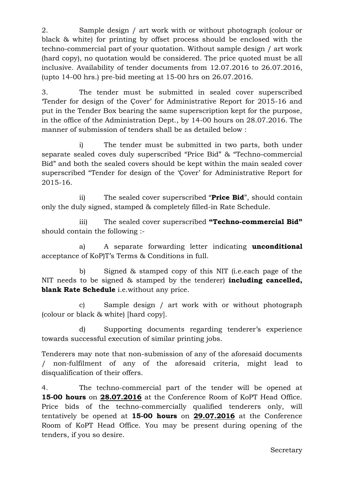2. Sample design / art work with or without photograph (colour or black & white) for printing by offset process should be enclosed with the techno-commercial part of your quotation. Without sample design / art work (hard copy), no quotation would be considered. The price quoted must be all inclusive. Availability of tender documents from 12.07.2016 to 26.07.2016, (upto 14-00 hrs.) pre-bid meeting at 15-00 hrs on 26.07.2016.

3. The tender must be submitted in sealed cover superscribed 'Tender for design of the Çover' for Administrative Report for 2015-16 and put in the Tender Box bearing the same superscription kept for the purpose, in the office of the Administration Dept., by 14-00 hours on 28.07.2016. The manner of submission of tenders shall be as detailed below :

i) The tender must be submitted in two parts, both under separate sealed coves duly superscribed "Price Bid" & "Techno-commercial Bid" and both the sealed covers should be kept within the main sealed cover superscribed "Tender for design of the 'Çover' for Administrative Report for 2015-16.

ii) The sealed cover superscribed "**Price Bid**", should contain only the duly signed, stamped & completely filled-in Rate Schedule.

iii) The sealed cover superscribed **"Techno-commercial Bid"** should contain the following :-

a) A separate forwarding letter indicating **unconditional**  acceptance of KoP)T's Terms & Conditions in full.

b) Signed & stamped copy of this NIT (i.e.each page of the NIT needs to be signed & stamped by the tenderer) **including cancelled, blank Rate Schedule** i.e.without any price.

c) Sample design / art work with or without photograph (colour or black & white) [hard copy].

d) Supporting documents regarding tenderer's experience towards successful execution of similar printing jobs.

Tenderers may note that non-submission of any of the aforesaid documents / non-fulfilment of any of the aforesaid criteria, might lead to disqualification of their offers.

4. The techno-commercial part of the tender will be opened at **15-00 hours** on **28.07.2016** at the Conference Room of KoPT Head Office. Price bids of the techno-commercially qualified tenderers only, will tentatively be opened at **15-00 hours** on **29.07.2016** at the Conference Room of KoPT Head Office. You may be present during opening of the tenders, if you so desire.